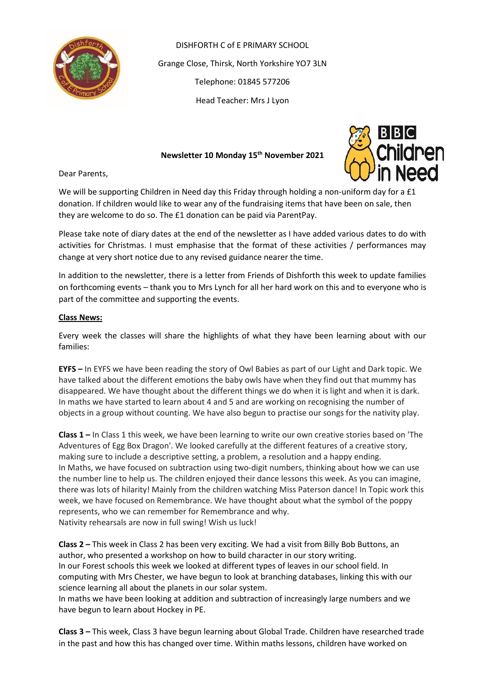

DISHFORTH C of E PRIMARY SCHOOL Grange Close, Thirsk, North Yorkshire YO7 3LN Telephone: 01845 577206 Head Teacher: Mrs J Lyon

#### **Newsletter 10 Monday 15th November 2021**



Dear Parents,

We will be supporting Children in Need day this Friday through holding a non-uniform day for a £1 donation. If children would like to wear any of the fundraising items that have been on sale, then they are welcome to do so. The £1 donation can be paid via ParentPay.

Please take note of diary dates at the end of the newsletter as I have added various dates to do with activities for Christmas. I must emphasise that the format of these activities / performances may change at very short notice due to any revised guidance nearer the time.

In addition to the newsletter, there is a letter from Friends of Dishforth this week to update families on forthcoming events – thank you to Mrs Lynch for all her hard work on this and to everyone who is part of the committee and supporting the events.

#### **Class News:**

Every week the classes will share the highlights of what they have been learning about with our families:

**EYFS –** In EYFS we have been reading the story of Owl Babies as part of our Light and Dark topic. We have talked about the different emotions the baby owls have when they find out that mummy has disappeared. We have thought about the different things we do when it is light and when it is dark. In maths we have started to learn about 4 and 5 and are working on recognising the number of objects in a group without counting. We have also begun to practise our songs for the nativity play.

**Class 1 –** In Class 1 this week, we have been learning to write our own creative stories based on 'The Adventures of Egg Box Dragon'. We looked carefully at the different features of a creative story, making sure to include a descriptive setting, a problem, a resolution and a happy ending. In Maths, we have focused on subtraction using two-digit numbers, thinking about how we can use the number line to help us. The children enjoyed their dance lessons this week. As you can imagine, there was lots of hilarity! Mainly from the children watching Miss Paterson dance! In Topic work this week, we have focused on Remembrance. We have thought about what the symbol of the poppy represents, who we can remember for Remembrance and why. Nativity rehearsals are now in full swing! Wish us luck!

**Class 2 –** This week in Class 2 has been very exciting. We had a visit from Billy Bob Buttons, an author, who presented a workshop on how to build character in our story writing. In our Forest schools this week we looked at different types of leaves in our school field. In computing with Mrs Chester, we have begun to look at branching databases, linking this with our science learning all about the planets in our solar system.

In maths we have been looking at addition and subtraction of increasingly large numbers and we have begun to learn about Hockey in PE.

**Class 3 –** This week, Class 3 have begun learning about Global Trade. Children have researched trade in the past and how this has changed over time. Within maths lessons, children have worked on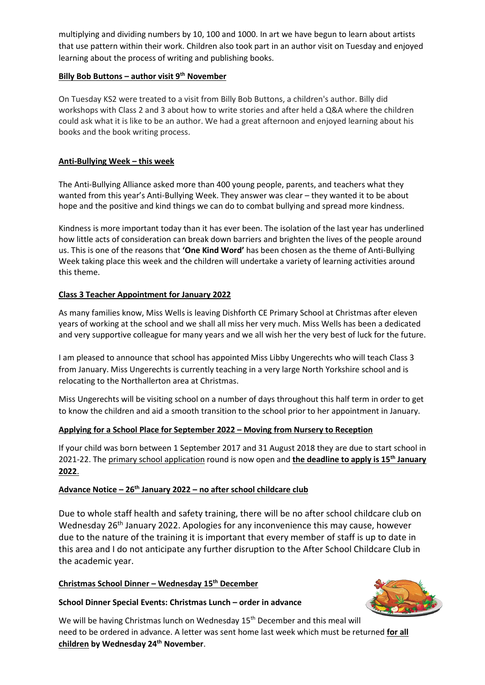multiplying and dividing numbers by 10, 100 and 1000. In art we have begun to learn about artists that use pattern within their work. Children also took part in an author visit on Tuesday and enjoyed learning about the process of writing and publishing books.

### **Billy Bob Buttons – author visit 9th November**

On Tuesday KS2 were treated to a visit from Billy Bob Buttons, a children's author. Billy did workshops with Class 2 and 3 about how to write stories and after held a Q&A where the children could ask what it is like to be an author. We had a great afternoon and enjoyed learning about his books and the book writing process.

# **Anti-Bullying Week – this week**

The Anti-Bullying Alliance asked more than 400 young people, parents, and teachers what they wanted from this year's Anti-Bullying Week. They answer was clear – they wanted it to be about hope and the positive and kind things we can do to combat bullying and spread more kindness.

Kindness is more important today than it has ever been. The isolation of the last year has underlined how little acts of consideration can break down barriers and brighten the lives of the people around us. This is one of the reasons that **'One Kind Word'** has been chosen as the theme of Anti-Bullying Week taking place this week and the children will undertake a variety of learning activities around this theme.

# **Class 3 Teacher Appointment for January 2022**

As many families know, Miss Wells is leaving Dishforth CE Primary School at Christmas after eleven years of working at the school and we shall all miss her very much. Miss Wells has been a dedicated and very supportive colleague for many years and we all wish her the very best of luck for the future.

I am pleased to announce that school has appointed Miss Libby Ungerechts who will teach Class 3 from January. Miss Ungerechts is currently teaching in a very large North Yorkshire school and is relocating to the Northallerton area at Christmas.

Miss Ungerechts will be visiting school on a number of days throughout this half term in order to get to know the children and aid a smooth transition to the school prior to her appointment in January.

# **Applying for a School Place for September 2022 – Moving from Nursery to Reception**

If your child was born between 1 September 2017 and 31 August 2018 they are due to start school in 2021-22. The [primary school application](https://www.northyorks.gov.uk/applying-place-primary-school) round is now open and **the deadline to apply is 15th January 2022**.

### **Advance Notice – 26th January 2022 – no after school childcare club**

Due to whole staff health and safety training, there will be no after school childcare club on Wednesday 26<sup>th</sup> January 2022. Apologies for any inconvenience this may cause, however due to the nature of the training it is important that every member of staff is up to date in this area and I do not anticipate any further disruption to the After School Childcare Club in the academic year.

### **Christmas School Dinner – Wednesday 15 th December**

### **School Dinner Special Events: Christmas Lunch – order in advance**



We will be having Christmas lunch on Wednesday 15<sup>th</sup> December and this meal will need to be ordered in advance. A letter was sent home last week which must be returned **for all children by Wednesday 24th November**.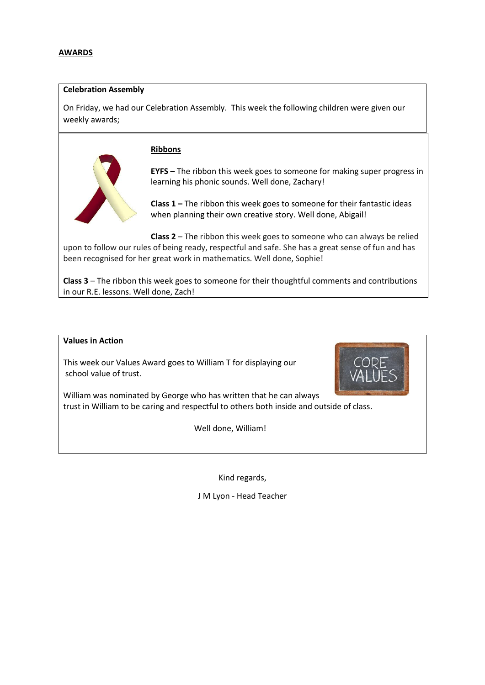#### **Celebration Assembly**

On Friday, we had our Celebration Assembly. This week the following children were given our weekly awards;

#### **Ribbons**



**EYFS** – The ribbon this week goes to someone for making super progress in learning his phonic sounds. Well done, Zachary!

**Class 1 –** The ribbon this week goes to someone for their fantastic ideas when planning their own creative story. Well done, Abigail!

**Class 2** – The ribbon this week goes to someone who can always be relied upon to follow our rules of being ready, respectful and safe. She has a great sense of fun and has been recognised for her great work in mathematics. Well done, Sophie!

**Class 3** – The ribbon this week goes to someone for their thoughtful comments and contributions in our R.E. lessons. Well done, Zach!

#### **Values in Action**

This week our Values Award goes to William T for displaying our school value of trust.



William was nominated by George who has written that he can always trust in William to be caring and respectful to others both inside and outside of class.

Well done, William!

Kind regards,

J M Lyon - Head Teacher